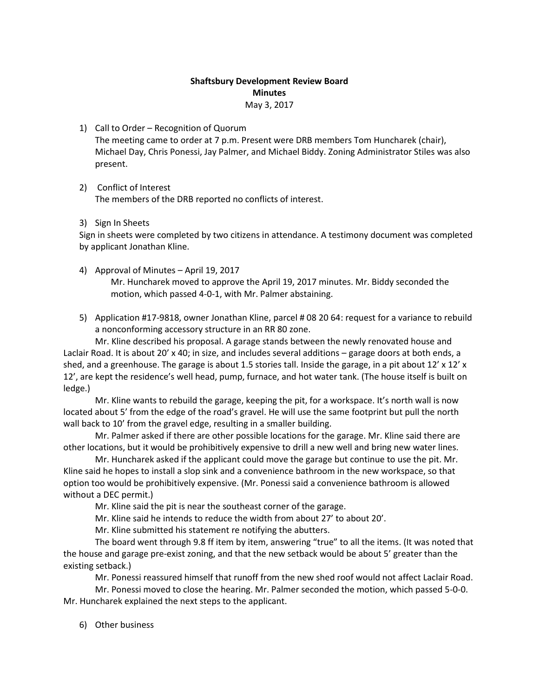## **Shaftsbury Development Review Board Minutes**

May 3, 2017

1) Call to Order – Recognition of Quorum

The meeting came to order at 7 p.m. Present were DRB members Tom Huncharek (chair), Michael Day, Chris Ponessi, Jay Palmer, and Michael Biddy. Zoning Administrator Stiles was also present.

- 2) Conflict of Interest The members of the DRB reported no conflicts of interest.
- 3) Sign In Sheets

Sign in sheets were completed by two citizens in attendance. A testimony document was completed by applicant Jonathan Kline.

- 4) Approval of Minutes April 19, 2017 Mr. Huncharek moved to approve the April 19, 2017 minutes. Mr. Biddy seconded the motion, which passed 4-0-1, with Mr. Palmer abstaining.
- 5) Application #17-9818, owner Jonathan Kline, parcel # 08 20 64: request for a variance to rebuild a nonconforming accessory structure in an RR 80 zone.

Mr. Kline described his proposal. A garage stands between the newly renovated house and Laclair Road. It is about 20' x 40; in size, and includes several additions – garage doors at both ends, a shed, and a greenhouse. The garage is about 1.5 stories tall. Inside the garage, in a pit about 12' x 12' x 12', are kept the residence's well head, pump, furnace, and hot water tank. (The house itself is built on ledge.)

Mr. Kline wants to rebuild the garage, keeping the pit, for a workspace. It's north wall is now located about 5' from the edge of the road's gravel. He will use the same footprint but pull the north wall back to 10' from the gravel edge, resulting in a smaller building.

Mr. Palmer asked if there are other possible locations for the garage. Mr. Kline said there are other locations, but it would be prohibitively expensive to drill a new well and bring new water lines.

Mr. Huncharek asked if the applicant could move the garage but continue to use the pit. Mr. Kline said he hopes to install a slop sink and a convenience bathroom in the new workspace, so that option too would be prohibitively expensive. (Mr. Ponessi said a convenience bathroom is allowed without a DEC permit.)

Mr. Kline said the pit is near the southeast corner of the garage.

Mr. Kline said he intends to reduce the width from about 27' to about 20'.

Mr. Kline submitted his statement re notifying the abutters.

The board went through 9.8 ff item by item, answering "true" to all the items. (It was noted that the house and garage pre-exist zoning, and that the new setback would be about 5' greater than the existing setback.)

Mr. Ponessi reassured himself that runoff from the new shed roof would not affect Laclair Road.

Mr. Ponessi moved to close the hearing. Mr. Palmer seconded the motion, which passed 5-0-0. Mr. Huncharek explained the next steps to the applicant.

6) Other business